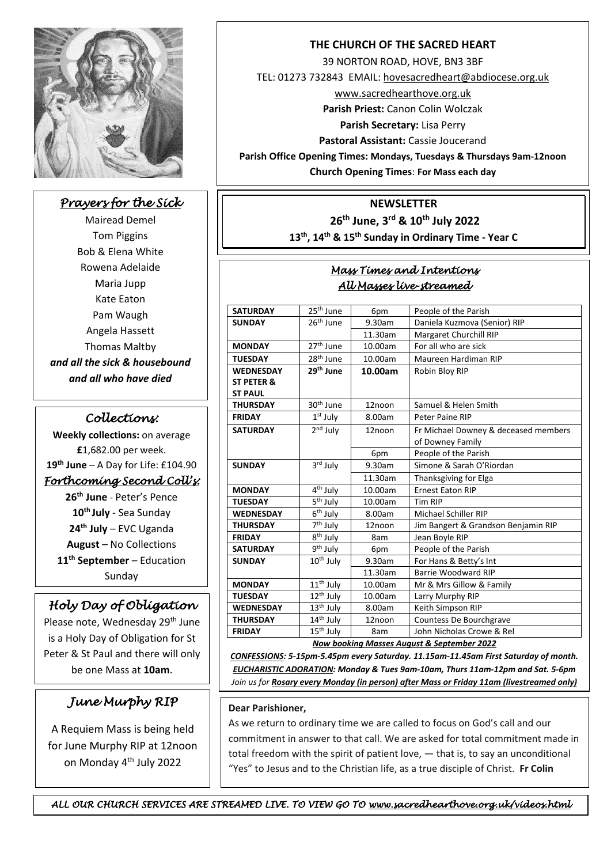

## *Prayers for the Sick*

Mairead Demel Tom Piggins Bob & Elena White Rowena Adelaide Maria Jupp Kate Eaton Pam Waugh Angela Hassett Thomas Maltby *and all the sick & housebound and all who have died*

### *Collections:*

**Weekly collections:** on average **£**1,682.00 per week. **19th June** – A Day for Life: £104.90 *Forthcoming Second Coll's:*  **26th June** - Peter's Pence **10th July** - Sea Sunday **24th July** – EVC Uganda **August** – No Collections **11th September** – Education Sunday

# *Holy Day of Obligation*

Please note, Wednesday 29<sup>th</sup> June is a Holy Day of Obligation for St Peter & St Paul and there will only be one Mass at **10am**.

### *June Murphy RIP*

A Requiem Mass is being held for June Murphy RIP at 12noon on Monday 4<sup>th</sup> July 2022

#### **THE CHURCH OF THE SACRED HEART**

39 NORTON ROAD, HOVE, BN3 3BF

TEL: 01273 732843 EMAIL[: hovesacredheart@abdiocese.org.uk](mailto:hovesacredheart@abdiocese.org.uk)

[www.sacredhearthove.org.uk](http://www.sacredhearthove.org.uk/)

**Parish Priest:** Canon Colin Wolczak

**Parish Secretary:** Lisa Perry

**Pastoral Assistant:** Cassie Joucerand

**Parish Office Opening Times: Mondays, Tuesdays & Thursdays 9am-12noon**

**Church Opening Times**: **For Mass each day**

#### **NEWSLETTER**

**26th June, 3 rd & 10th July 2022**

**13th, 14th & 15th Sunday in Ordinary Time - Year C** For Mass each day (see below) and Monday, Tuesday and Thursday 9-1pm (except

#### *Mass Times and Intentions All Masses live-streamed*  .  $\overline{\phantom{a}}$ school holidays)

| <b>SATURDAY</b>                              | 25 <sup>th</sup> June             | 6pm     | People of the Parish                 |  |
|----------------------------------------------|-----------------------------------|---------|--------------------------------------|--|
| <b>SUNDAY</b>                                | 26 <sup>th</sup> June             | 9.30am  | Daniela Kuzmova (Senior) RIP         |  |
|                                              |                                   | 11.30am | <b>Margaret Churchill RIP</b>        |  |
| <b>MONDAY</b>                                | 27 <sup>th</sup> June             | 10.00am | For all who are sick                 |  |
| <b>TUESDAY</b>                               | 28 <sup>th</sup> June             | 10.00am | Maureen Hardiman RIP                 |  |
|                                              | 29 <sup>th</sup> June             |         |                                      |  |
| <b>WEDNESDAY</b>                             |                                   | 10.00am | Robin Bloy RIP                       |  |
| ST PETER &                                   |                                   |         |                                      |  |
| <b>ST PAUL</b>                               |                                   |         |                                      |  |
| <b>THURSDAY</b>                              | 30 <sup>th</sup> June             | 12noon  | Samuel & Helen Smith                 |  |
| <b>FRIDAY</b>                                | 1 <sup>st</sup> July              | 8.00am  | Peter Paine RIP                      |  |
| <b>SATURDAY</b>                              | $2nd$ July                        | 12noon  | Fr Michael Downey & deceased members |  |
|                                              |                                   |         | of Downey Family                     |  |
|                                              |                                   | 6pm     | People of the Parish                 |  |
| <b>SUNDAY</b>                                | 3rd July                          | 9.30am  | Simone & Sarah O'Riordan             |  |
|                                              |                                   | 11.30am | Thanksgiving for Elga                |  |
| <b>MONDAY</b>                                | 4 <sup>th</sup> July              | 10.00am | <b>Ernest Eaton RIP</b>              |  |
| <b>TUESDAY</b>                               | 5 <sup>th</sup> July              | 10.00am | <b>Tim RIP</b>                       |  |
| <b>WEDNESDAY</b>                             | 6 <sup>th</sup> July              | 8.00am  | Michael Schiller RIP                 |  |
| <b>THURSDAY</b>                              | $\overline{7}$ <sup>th</sup> July | 12noon  | Jim Bangert & Grandson Benjamin RIP  |  |
| <b>FRIDAY</b>                                | 8 <sup>th</sup> July              | 8am     | Jean Boyle RIP                       |  |
| <b>SATURDAY</b>                              | 9 <sup>th</sup> July              | 6pm     | People of the Parish                 |  |
| <b>SUNDAY</b>                                | 10 <sup>th</sup> July             | 9.30am  | For Hans & Betty's Int               |  |
|                                              |                                   | 11.30am | Barrie Woodward RIP                  |  |
| <b>MONDAY</b>                                | 11 <sup>th</sup> July             | 10.00am | Mr & Mrs Gillow & Family             |  |
| <b>TUESDAY</b>                               | 12 <sup>th</sup> July             | 10.00am | Larry Murphy RIP                     |  |
| <b>WEDNESDAY</b>                             | 13 <sup>th</sup> July             | 8.00am  | Keith Simpson RIP                    |  |
| <b>THURSDAY</b>                              | 14 <sup>th</sup> July             | 12noon  | Countess De Bourchgrave              |  |
| <b>FRIDAY</b>                                | 15 <sup>th</sup> July             | 8am     | John Nicholas Crowe & Rel            |  |
| $M = 1$ , $L = 1$ , $L = 0$<br>$$ ar O.C. $$ |                                   |         |                                      |  |

*Now booking Masses August & September 2022*

*CONFESSIONS: 5-15pm-5.45pm every Saturday. 11.15am-11.45am First Saturday of month. EUCHARISTIC ADORATION: Monday & Tues 9am-10am, Thurs 11am-12pm and Sat. 5-6pm Join us for Rosary every Monday (in person) after Mass or Friday 11am (livestreamed only)*

#### **Dear Parishioner,**

 As we return to ordinary time we are called to focus on God's call and our commitment in answer to that call. We are asked for total commitment made in total freedom with the spirit of patient love, — that is, to say an unconditional "Yes" to Jesus and to the Christian life, as a true disciple of Christ. **Fr Colin**

*ALL OUR CHURCH SERVICES ARE STREAMED LIVE. TO VIEW GO TO www.sacredhearthove.org.uk/videos.html*